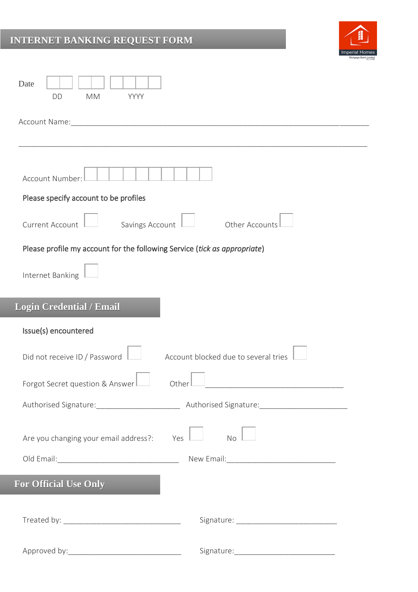## **INTERNET BANKING REQUEST FORM**



| Date<br><b>DD</b><br><b>MM</b><br>YYYY                                    |
|---------------------------------------------------------------------------|
| Account Name:                                                             |
|                                                                           |
| Account Number:                                                           |
| Please specify account to be profiles                                     |
| Savings Account<br><b>Current Account</b><br>Other Accounts               |
| Please profile my account for the following Service (tick as appropriate) |
| Internet Banking                                                          |
| <b>Login Credential / Email</b>                                           |
| Issue(s) encountered                                                      |
| Did not receive ID / Password<br>Account blocked due to several tries     |
| Forgot Secret question & Answer<br>Other                                  |
|                                                                           |
| Are you changing your email address?:<br><b>No</b><br>Yes                 |
|                                                                           |
| <b>For Official Use Only</b>                                              |
|                                                                           |
|                                                                           |